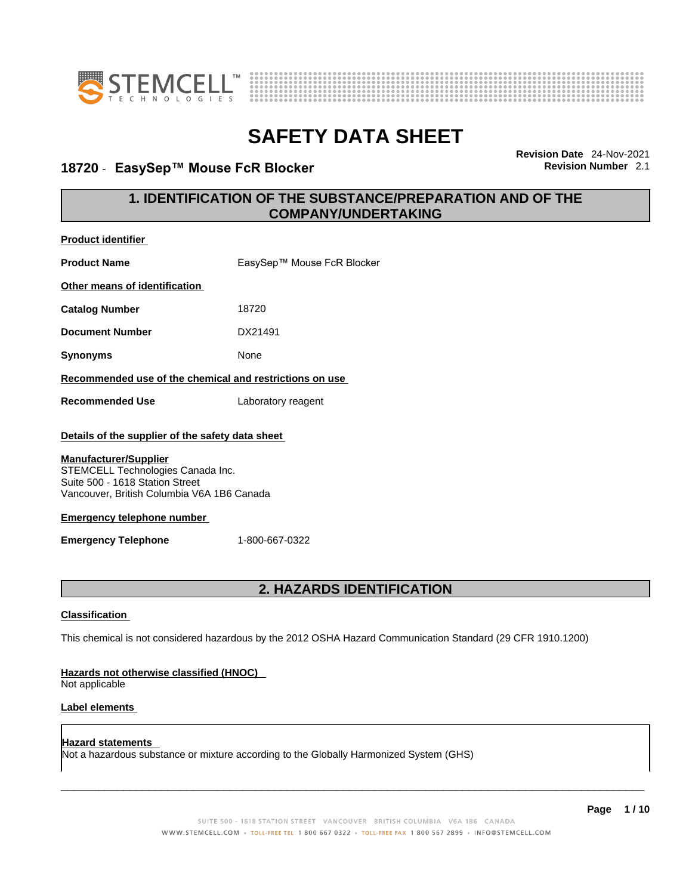

**Product identifier**



# **SAFETY DATA SHEET**

### **18720** - **EasySep™ Mouse FcR Blocker Revision Number** 2.1

**Revision Date** 24-Nov-2021

### **1. IDENTIFICATION OF THE SUBSTANCE/PREPARATION AND OF THE COMPANY/UNDERTAKING**

| <b>Product Name</b>                                                                                                                                                                                                                                                       | EasySep™ Mouse FcR Blocker                                                                                  |
|---------------------------------------------------------------------------------------------------------------------------------------------------------------------------------------------------------------------------------------------------------------------------|-------------------------------------------------------------------------------------------------------------|
| Other means of identification                                                                                                                                                                                                                                             |                                                                                                             |
| <b>Catalog Number</b>                                                                                                                                                                                                                                                     | 18720                                                                                                       |
| <b>Document Number</b>                                                                                                                                                                                                                                                    | DX21491                                                                                                     |
| <b>Synonyms</b>                                                                                                                                                                                                                                                           | None                                                                                                        |
| Recommended use of the chemical and restrictions on use                                                                                                                                                                                                                   |                                                                                                             |
| <b>Recommended Use</b>                                                                                                                                                                                                                                                    | Laboratory reagent                                                                                          |
| Details of the supplier of the safety data sheet<br><b>Manufacturer/Supplier</b><br>STEMCELL Technologies Canada Inc.<br>Suite 500 - 1618 Station Street<br>Vancouver, British Columbia V6A 1B6 Canada<br><b>Emergency telephone number</b><br><b>Emergency Telephone</b> | 1-800-667-0322                                                                                              |
|                                                                                                                                                                                                                                                                           | 2. HAZARDS IDENTIFICATION                                                                                   |
| <b>Classification</b>                                                                                                                                                                                                                                                     |                                                                                                             |
|                                                                                                                                                                                                                                                                           | This chemical is not considered hazardous by the 2012 OSHA Hazard Communication Standard (29 CFR 1910.1200) |
| Hazards not otherwise classified (HNOC)<br>Not applicable                                                                                                                                                                                                                 |                                                                                                             |
| <b>Label elements</b>                                                                                                                                                                                                                                                     |                                                                                                             |

**Hazard statements**  Not a hazardous substance or mixture according to the Globally Harmonized System (GHS)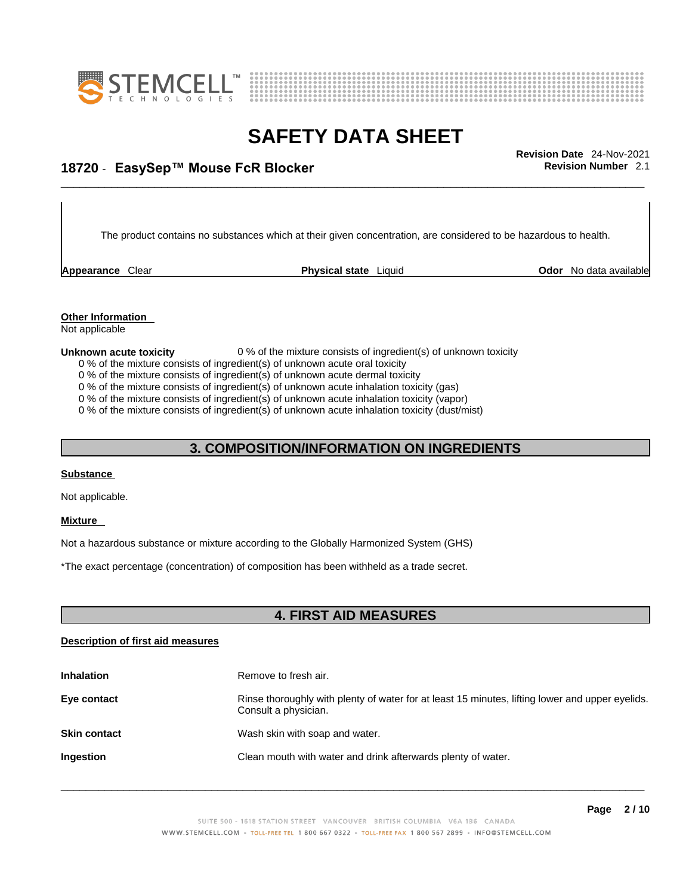



## \_\_\_\_\_\_\_\_\_\_\_\_\_\_\_\_\_\_\_\_\_\_\_\_\_\_\_\_\_\_\_\_\_\_\_\_\_\_\_\_\_\_\_\_\_\_\_\_\_\_\_\_\_\_\_\_\_\_\_\_\_\_\_\_\_\_\_\_\_\_\_\_\_\_\_\_\_\_\_\_\_\_\_\_\_\_\_\_\_\_\_\_\_ **Revision Date** 24-Nov-2021 **18720** - **EasySep™ Mouse FcR Blocker Revision Number** 2.1

The product contains no substances which at their given concentration, are considered to be hazardous to health.

**Appearance** Clear **Physical state** Liquid

**Odor** No data available

**Other Information** 

Not applicable

### **Unknown acute toxicity** 0 % of the mixture consists of ingredient(s) of unknown toxicity

- 0 % of the mixture consists of ingredient(s) of unknown acute oral toxicity
- 0 % of the mixture consists of ingredient(s) of unknown acute dermal toxicity
- 0 % of the mixture consists of ingredient(s) of unknown acute inhalation toxicity (gas)
- 0 % of the mixture consists of ingredient(s) of unknown acute inhalation toxicity (vapor)

0 % of the mixture consists of ingredient(s) of unknown acute inhalation toxicity (dust/mist)

### **3. COMPOSITION/INFORMATION ON INGREDIENTS**

#### **Substance**

Not applicable.

#### **Mixture**

Not a hazardous substance or mixture according to the Globally Harmonized System (GHS)

\*The exact percentage (concentration) of composition has been withheld as a trade secret.

### **4. FIRST AID MEASURES**

### **Description of first aid measures**

| <b>Inhalation</b>   | Remove to fresh air.                                                                                                    |
|---------------------|-------------------------------------------------------------------------------------------------------------------------|
| Eye contact         | Rinse thoroughly with plenty of water for at least 15 minutes, lifting lower and upper eyelids.<br>Consult a physician. |
| <b>Skin contact</b> | Wash skin with soap and water.                                                                                          |
| <b>Ingestion</b>    | Clean mouth with water and drink afterwards plenty of water.                                                            |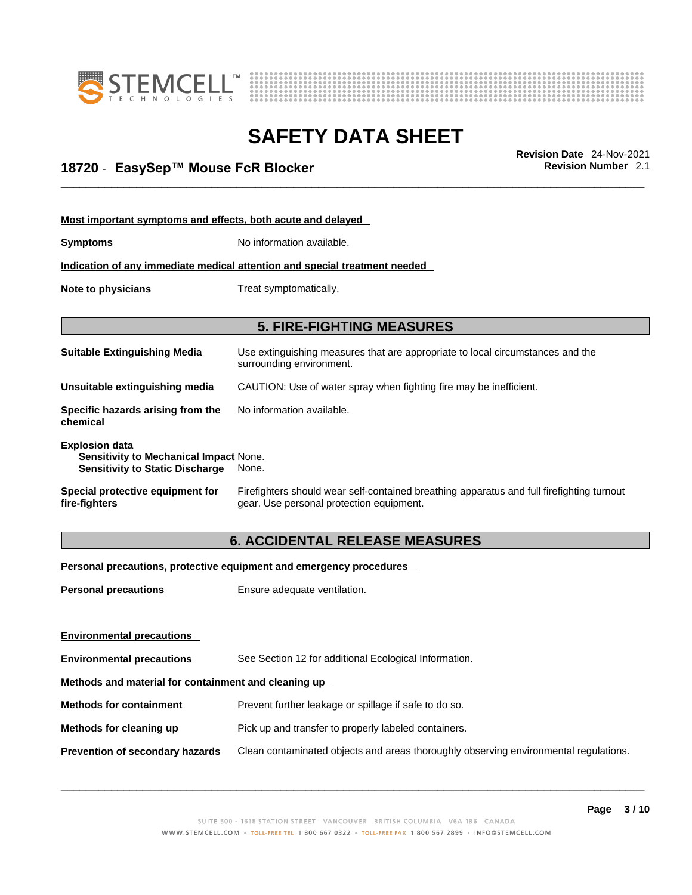



## \_\_\_\_\_\_\_\_\_\_\_\_\_\_\_\_\_\_\_\_\_\_\_\_\_\_\_\_\_\_\_\_\_\_\_\_\_\_\_\_\_\_\_\_\_\_\_\_\_\_\_\_\_\_\_\_\_\_\_\_\_\_\_\_\_\_\_\_\_\_\_\_\_\_\_\_\_\_\_\_\_\_\_\_\_\_\_\_\_\_\_\_\_ **Revision Date** 24-Nov-2021 **18720** - **EasySep™ Mouse FcR Blocker Revision Number** 2.1

| Most important symptoms and effects, both acute and delayed                                               |                                                                                                                                       |  |  |
|-----------------------------------------------------------------------------------------------------------|---------------------------------------------------------------------------------------------------------------------------------------|--|--|
| <b>Symptoms</b>                                                                                           | No information available.                                                                                                             |  |  |
| Indication of any immediate medical attention and special treatment needed                                |                                                                                                                                       |  |  |
| Note to physicians                                                                                        | Treat symptomatically.                                                                                                                |  |  |
|                                                                                                           |                                                                                                                                       |  |  |
| <b>5. FIRE-FIGHTING MEASURES</b>                                                                          |                                                                                                                                       |  |  |
| <b>Suitable Extinguishing Media</b>                                                                       | Use extinguishing measures that are appropriate to local circumstances and the<br>surrounding environment.                            |  |  |
| Unsuitable extinguishing media                                                                            | CAUTION: Use of water spray when fighting fire may be inefficient.                                                                    |  |  |
| Specific hazards arising from the<br>chemical                                                             | No information available.                                                                                                             |  |  |
| <b>Explosion data</b><br>Sensitivity to Mechanical Impact None.<br><b>Sensitivity to Static Discharge</b> | None.                                                                                                                                 |  |  |
| Special protective equipment for<br>fire-fighters                                                         | Firefighters should wear self-contained breathing apparatus and full firefighting turnout<br>gear. Use personal protection equipment. |  |  |

### **6. ACCIDENTAL RELEASE MEASURES**

### **Personal precautions, protective equipment and emergency procedures**

| <b>Personal precautions</b>                          | Ensure adequate ventilation.                                                         |
|------------------------------------------------------|--------------------------------------------------------------------------------------|
| <b>Environmental precautions</b>                     |                                                                                      |
| <b>Environmental precautions</b>                     | See Section 12 for additional Ecological Information.                                |
| Methods and material for containment and cleaning up |                                                                                      |
| <b>Methods for containment</b>                       | Prevent further leakage or spillage if safe to do so.                                |
| Methods for cleaning up                              | Pick up and transfer to properly labeled containers.                                 |
| Prevention of secondary hazards                      | Clean contaminated objects and areas thoroughly observing environmental regulations. |
|                                                      |                                                                                      |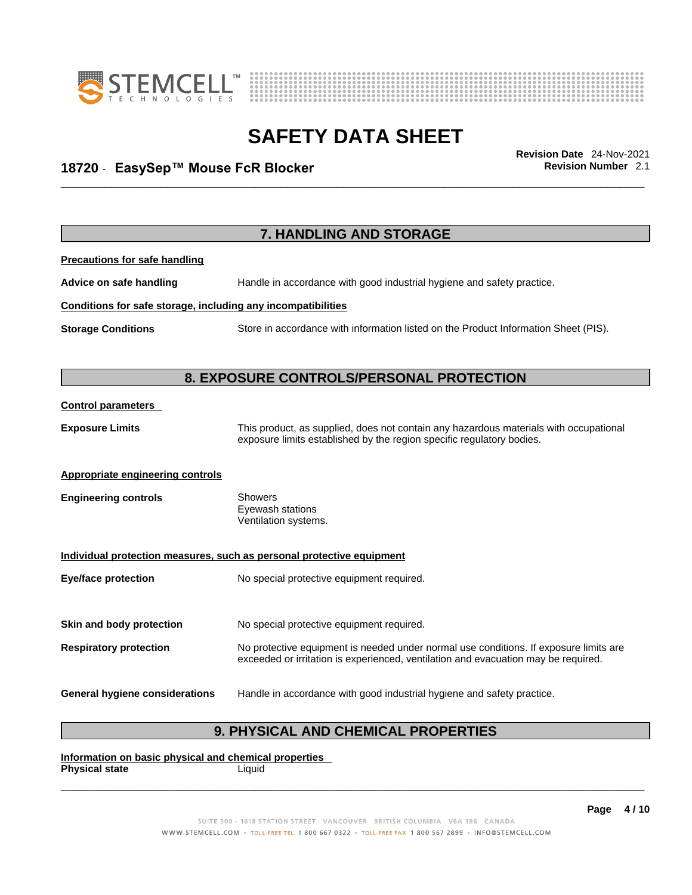



## \_\_\_\_\_\_\_\_\_\_\_\_\_\_\_\_\_\_\_\_\_\_\_\_\_\_\_\_\_\_\_\_\_\_\_\_\_\_\_\_\_\_\_\_\_\_\_\_\_\_\_\_\_\_\_\_\_\_\_\_\_\_\_\_\_\_\_\_\_\_\_\_\_\_\_\_\_\_\_\_\_\_\_\_\_\_\_\_\_\_\_\_\_ **Revision Date** 24-Nov-2021 **18720** - **EasySep™ Mouse FcR Blocker Revision Number** 2.1

|                                                              | 7. HANDLING AND STORAGE                                                                                                                                                     |  |  |  |
|--------------------------------------------------------------|-----------------------------------------------------------------------------------------------------------------------------------------------------------------------------|--|--|--|
| <b>Precautions for safe handling</b>                         |                                                                                                                                                                             |  |  |  |
| Advice on safe handling                                      | Handle in accordance with good industrial hygiene and safety practice.                                                                                                      |  |  |  |
| Conditions for safe storage, including any incompatibilities |                                                                                                                                                                             |  |  |  |
| <b>Storage Conditions</b>                                    | Store in accordance with information listed on the Product Information Sheet (PIS).                                                                                         |  |  |  |
|                                                              | 8. EXPOSURE CONTROLS/PERSONAL PROTECTION                                                                                                                                    |  |  |  |
| <b>Control parameters</b>                                    |                                                                                                                                                                             |  |  |  |
| <b>Exposure Limits</b>                                       | This product, as supplied, does not contain any hazardous materials with occupational<br>exposure limits established by the region specific regulatory bodies.              |  |  |  |
| <b>Appropriate engineering controls</b>                      |                                                                                                                                                                             |  |  |  |
| <b>Engineering controls</b>                                  | <b>Showers</b><br>Eyewash stations<br>Ventilation systems.                                                                                                                  |  |  |  |
|                                                              | Individual protection measures, such as personal protective equipment                                                                                                       |  |  |  |
| <b>Eye/face protection</b>                                   | No special protective equipment required.                                                                                                                                   |  |  |  |
| Skin and body protection                                     | No special protective equipment required.                                                                                                                                   |  |  |  |
| <b>Respiratory protection</b>                                | No protective equipment is needed under normal use conditions. If exposure limits are<br>exceeded or irritation is experienced, ventilation and evacuation may be required. |  |  |  |
| <b>General hygiene considerations</b>                        | Handle in accordance with good industrial hygiene and safety practice.                                                                                                      |  |  |  |

### **9. PHYSICAL AND CHEMICAL PROPERTIES**

**Information on basic physical and chemical properties Physical state** Liquid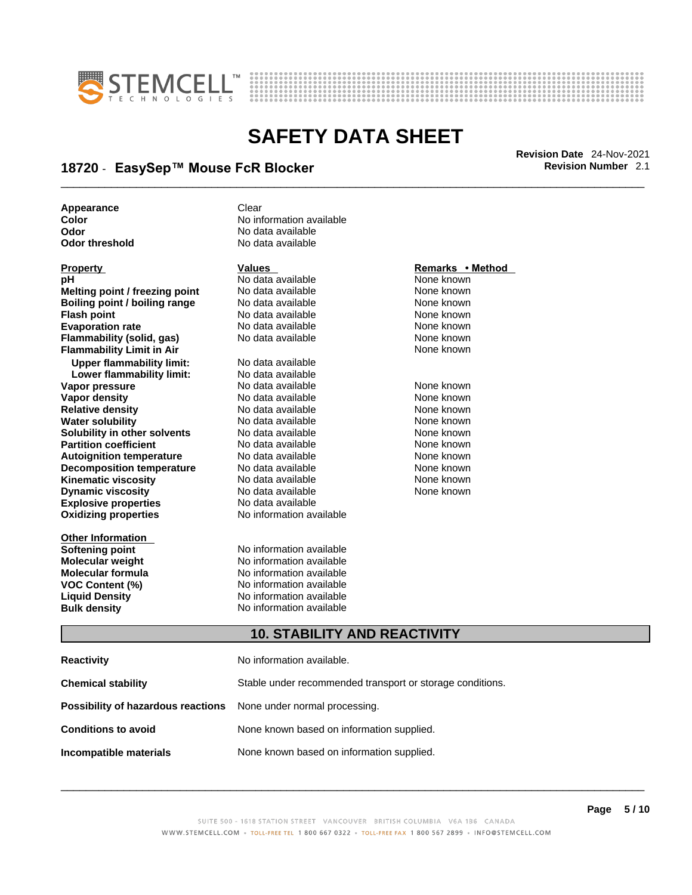



## \_\_\_\_\_\_\_\_\_\_\_\_\_\_\_\_\_\_\_\_\_\_\_\_\_\_\_\_\_\_\_\_\_\_\_\_\_\_\_\_\_\_\_\_\_\_\_\_\_\_\_\_\_\_\_\_\_\_\_\_\_\_\_\_\_\_\_\_\_\_\_\_\_\_\_\_\_\_\_\_\_\_\_\_\_\_\_\_\_\_\_\_\_ **Revision Date** 24-Nov-2021 **18720** - **EasySep™ Mouse FcR Blocker Revision Number** 2.1

**Appearance** Clear<br> **Color** No inf **Color Color Color Color Color Color Color Color Color Color No** data available **Odor No data available**<br> **Odor threshold No data available** 

| <b>Property</b>                      | <b>Values</b>                       | Remarks • Method |  |
|--------------------------------------|-------------------------------------|------------------|--|
| рH                                   | No data available                   | None known       |  |
| Melting point / freezing point       | No data available                   | None known       |  |
| <b>Boiling point / boiling range</b> | No data available                   | None known       |  |
| <b>Flash point</b>                   | No data available                   | None known       |  |
| <b>Evaporation rate</b>              | No data available                   | None known       |  |
| Flammability (solid, gas)            | No data available                   | None known       |  |
| <b>Flammability Limit in Air</b>     |                                     | None known       |  |
| <b>Upper flammability limit:</b>     | No data available                   |                  |  |
| Lower flammability limit:            | No data available                   |                  |  |
| Vapor pressure                       | No data available                   | None known       |  |
| <b>Vapor density</b>                 | No data available                   | None known       |  |
| <b>Relative density</b>              | No data available                   | None known       |  |
| <b>Water solubility</b>              | No data available                   | None known       |  |
| Solubility in other solvents         | No data available                   | None known       |  |
| <b>Partition coefficient</b>         | No data available                   | None known       |  |
| <b>Autoignition temperature</b>      | No data available                   | None known       |  |
| <b>Decomposition temperature</b>     | No data available                   | None known       |  |
| <b>Kinematic viscosity</b>           | No data available                   | None known       |  |
| <b>Dynamic viscosity</b>             | No data available                   | None known       |  |
| <b>Explosive properties</b>          | No data available                   |                  |  |
| <b>Oxidizing properties</b>          | No information available            |                  |  |
| <b>Other Information</b>             |                                     |                  |  |
| <b>Softening point</b>               | No information available            |                  |  |
| <b>Molecular weight</b>              | No information available            |                  |  |
| Molecular formula                    | No information available            |                  |  |
| <b>VOC Content (%)</b>               | No information available            |                  |  |
| <b>Liquid Density</b>                | No information available            |                  |  |
| <b>Bulk density</b>                  | No information available            |                  |  |
|                                      | <b>10. STABILITY AND REACTIVITY</b> |                  |  |
| <b>Reactivity</b>                    | No information available.           |                  |  |

**No data available** 

**Chemical stability** Stable under recommended transport or storage conditions. **Possibility of hazardous reactions** None under normal processing. **Conditions to avoid** None known based on information supplied. **Incompatible materials** None known based on information supplied.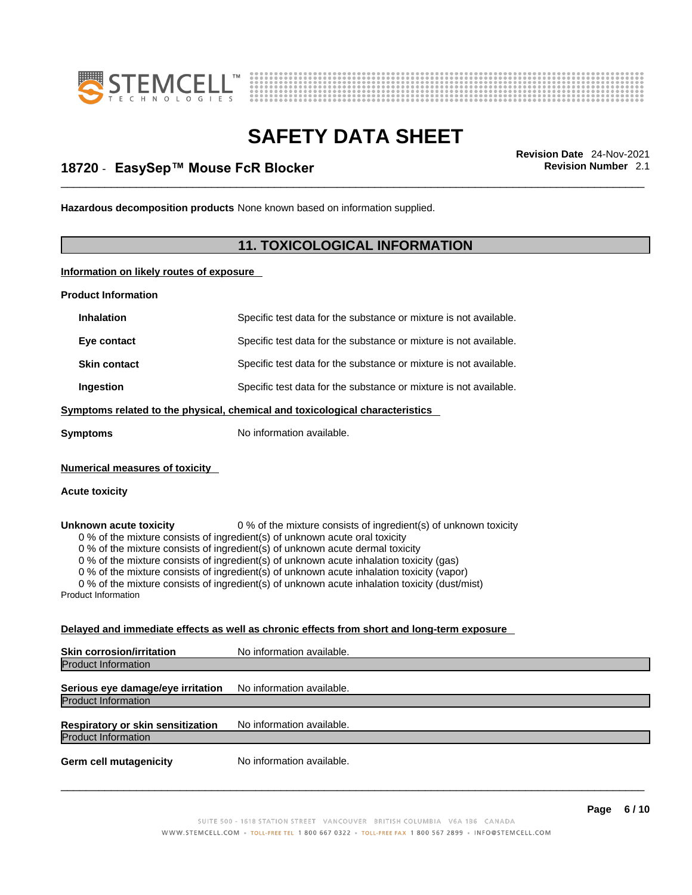



## \_\_\_\_\_\_\_\_\_\_\_\_\_\_\_\_\_\_\_\_\_\_\_\_\_\_\_\_\_\_\_\_\_\_\_\_\_\_\_\_\_\_\_\_\_\_\_\_\_\_\_\_\_\_\_\_\_\_\_\_\_\_\_\_\_\_\_\_\_\_\_\_\_\_\_\_\_\_\_\_\_\_\_\_\_\_\_\_\_\_\_\_\_ **Revision Date** 24-Nov-2021 **18720** - **EasySep™ Mouse FcR Blocker Revision Number** 2.1

**Hazardous decomposition products** None known based on information supplied.

### **11. TOXICOLOGICAL INFORMATION**

**Information on likely routes of exposure**

**Product Information**

| <b>Inhalation</b>                                    | Specific test data for the substance or mixture is not available.                                                                                                                                                                                                                                                                                                                                                                                                                                                         |
|------------------------------------------------------|---------------------------------------------------------------------------------------------------------------------------------------------------------------------------------------------------------------------------------------------------------------------------------------------------------------------------------------------------------------------------------------------------------------------------------------------------------------------------------------------------------------------------|
| Eye contact                                          | Specific test data for the substance or mixture is not available.                                                                                                                                                                                                                                                                                                                                                                                                                                                         |
| <b>Skin contact</b>                                  | Specific test data for the substance or mixture is not available.                                                                                                                                                                                                                                                                                                                                                                                                                                                         |
| Ingestion                                            | Specific test data for the substance or mixture is not available.                                                                                                                                                                                                                                                                                                                                                                                                                                                         |
|                                                      | Symptoms related to the physical, chemical and toxicological characteristics                                                                                                                                                                                                                                                                                                                                                                                                                                              |
| <b>Symptoms</b>                                      | No information available.                                                                                                                                                                                                                                                                                                                                                                                                                                                                                                 |
| <b>Numerical measures of toxicity</b>                |                                                                                                                                                                                                                                                                                                                                                                                                                                                                                                                           |
| <b>Acute toxicity</b>                                |                                                                                                                                                                                                                                                                                                                                                                                                                                                                                                                           |
| Unknown acute toxicity<br><b>Product Information</b> | 0 % of the mixture consists of ingredient(s) of unknown toxicity<br>0 % of the mixture consists of ingredient(s) of unknown acute oral toxicity<br>0 % of the mixture consists of ingredient(s) of unknown acute dermal toxicity<br>0 % of the mixture consists of ingredient(s) of unknown acute inhalation toxicity (gas)<br>0 % of the mixture consists of ingredient(s) of unknown acute inhalation toxicity (vapor)<br>0 % of the mixture consists of ingredient(s) of unknown acute inhalation toxicity (dust/mist) |
|                                                      | Delayed and immediate effects as well as chronic effects from short and long-term exposure                                                                                                                                                                                                                                                                                                                                                                                                                                |
| <b>Skin corrosion/irritation</b>                     | No information available.                                                                                                                                                                                                                                                                                                                                                                                                                                                                                                 |
| <b>Product Information</b>                           |                                                                                                                                                                                                                                                                                                                                                                                                                                                                                                                           |
| Serious eye damage/eye irritation                    | No information available.                                                                                                                                                                                                                                                                                                                                                                                                                                                                                                 |
| <b>Product Information</b>                           |                                                                                                                                                                                                                                                                                                                                                                                                                                                                                                                           |

**Respiratory or skin sensitization** No information available. Product Information

**Germ cell mutagenicity** No information available.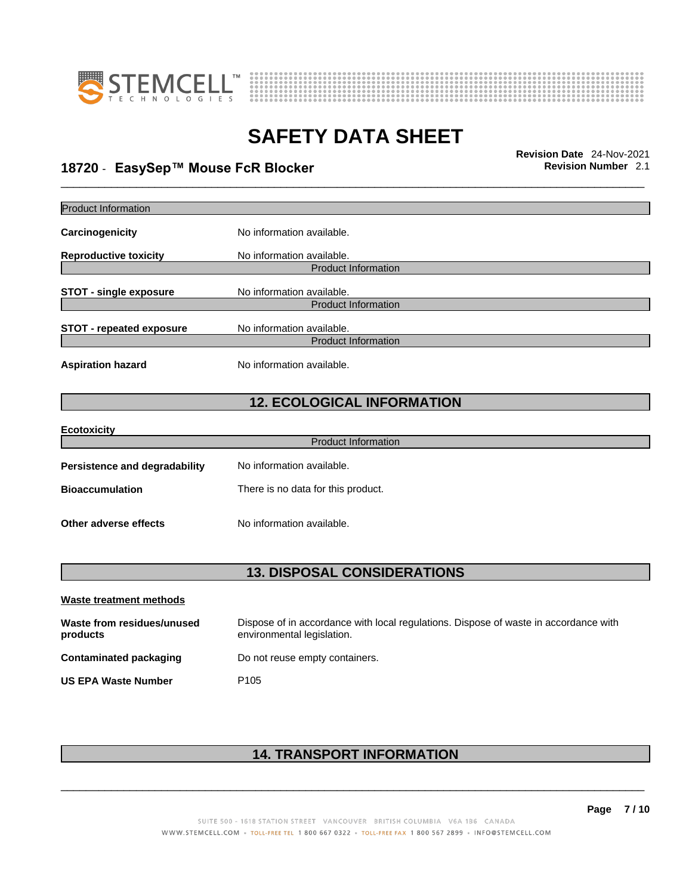



\_\_\_\_\_\_\_\_\_\_\_\_\_\_\_\_\_\_\_\_\_\_\_\_\_\_\_\_\_\_\_\_\_\_\_\_\_\_\_\_\_\_\_\_\_\_\_\_\_\_\_\_\_\_\_\_\_\_\_\_\_\_\_\_\_\_\_\_\_\_\_\_\_\_\_\_\_\_\_\_\_\_\_\_\_\_\_\_\_\_\_\_\_ **Revision Date** 24-Nov-2021 **18720** - **EasySep™ Mouse FcR Blocker Revision Number** 2.1

| Product Information                    |                                                                                                                    |  |  |
|----------------------------------------|--------------------------------------------------------------------------------------------------------------------|--|--|
| Carcinogenicity                        | No information available.                                                                                          |  |  |
| <b>Reproductive toxicity</b>           | No information available.<br><b>Product Information</b>                                                            |  |  |
|                                        |                                                                                                                    |  |  |
| <b>STOT - single exposure</b>          | No information available.<br><b>Product Information</b>                                                            |  |  |
| <b>STOT - repeated exposure</b>        | No information available.                                                                                          |  |  |
|                                        | <b>Product Information</b>                                                                                         |  |  |
| <b>Aspiration hazard</b>               | No information available.                                                                                          |  |  |
| <b>12. ECOLOGICAL INFORMATION</b>      |                                                                                                                    |  |  |
| <b>Ecotoxicity</b>                     |                                                                                                                    |  |  |
|                                        | <b>Product Information</b>                                                                                         |  |  |
| <b>Persistence and degradability</b>   | No information available.                                                                                          |  |  |
| <b>Bioaccumulation</b>                 | There is no data for this product.                                                                                 |  |  |
| Other adverse effects                  | No information available.                                                                                          |  |  |
| <b>13. DISPOSAL CONSIDERATIONS</b>     |                                                                                                                    |  |  |
|                                        |                                                                                                                    |  |  |
| Waste treatment methods                |                                                                                                                    |  |  |
| Waste from residues/unused<br>products | Dispose of in accordance with local regulations. Dispose of waste in accordance with<br>environmental legislation. |  |  |
| <b>Contaminated packaging</b>          | Do not reuse empty containers.                                                                                     |  |  |

**US EPA Waste Number** P105

### **14. TRANSPORT INFORMATION**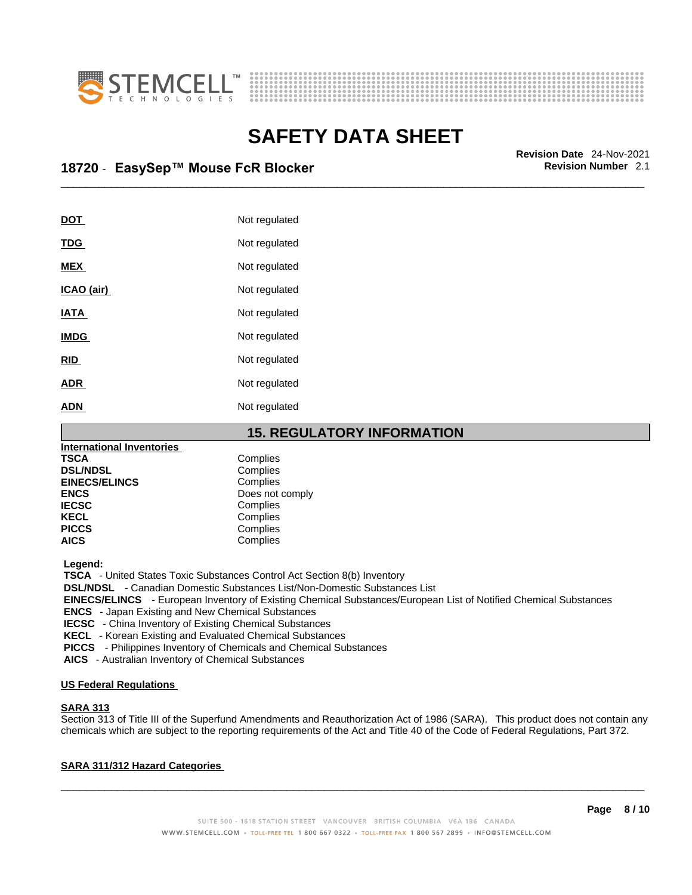



## \_\_\_\_\_\_\_\_\_\_\_\_\_\_\_\_\_\_\_\_\_\_\_\_\_\_\_\_\_\_\_\_\_\_\_\_\_\_\_\_\_\_\_\_\_\_\_\_\_\_\_\_\_\_\_\_\_\_\_\_\_\_\_\_\_\_\_\_\_\_\_\_\_\_\_\_\_\_\_\_\_\_\_\_\_\_\_\_\_\_\_\_\_ **Revision Date** 24-Nov-2021 **18720** - **EasySep™ Mouse FcR Blocker Revision Number** 2.1

| <b>DOT</b>  | Not regulated |
|-------------|---------------|
| <b>TDG</b>  | Not regulated |
| <b>MEX</b>  | Not regulated |
| ICAO (air)  | Not regulated |
| <b>IATA</b> | Not regulated |
| <b>IMDG</b> | Not regulated |
| <b>RID</b>  | Not regulated |
| <b>ADR</b>  | Not regulated |
| <b>ADN</b>  | Not regulated |
|             |               |

**15. REGULATORY INFORMATION International Inventories TSCA** Complies<br> **DSL/NDSL** Complies **DSL/NDSL** Complies **EINECS/ELINCS**<br>ENCS **ENCS** Does not comply<br> **IECSC** Complies **IECSC** Complies<br> **IECSC** Complies **KECL Complies**<br> **PICCS** Complies **PICCS** Complies<br> **AICS** Complies **AICS** Complies

 **Legend:** 

 **TSCA** - United States Toxic Substances Control Act Section 8(b) Inventory

 **DSL/NDSL** - Canadian Domestic Substances List/Non-Domestic Substances List

 **EINECS/ELINCS** - European Inventory of Existing Chemical Substances/European List of Notified Chemical Substances

 **ENCS** - Japan Existing and New Chemical Substances

 **IECSC** - China Inventory of Existing Chemical Substances

 **KECL** - Korean Existing and Evaluated Chemical Substances

 **PICCS** - Philippines Inventory of Chemicals and Chemical Substances

 **AICS** - Australian Inventory of Chemical Substances

### **US Federal Regulations**

### **SARA 313**

Section 313 of Title III of the Superfund Amendments and Reauthorization Act of 1986 (SARA). This product does not contain any chemicals which are subject to the reporting requirements of the Act and Title 40 of the Code of Federal Regulations, Part 372.

### **SARA 311/312 Hazard Categories**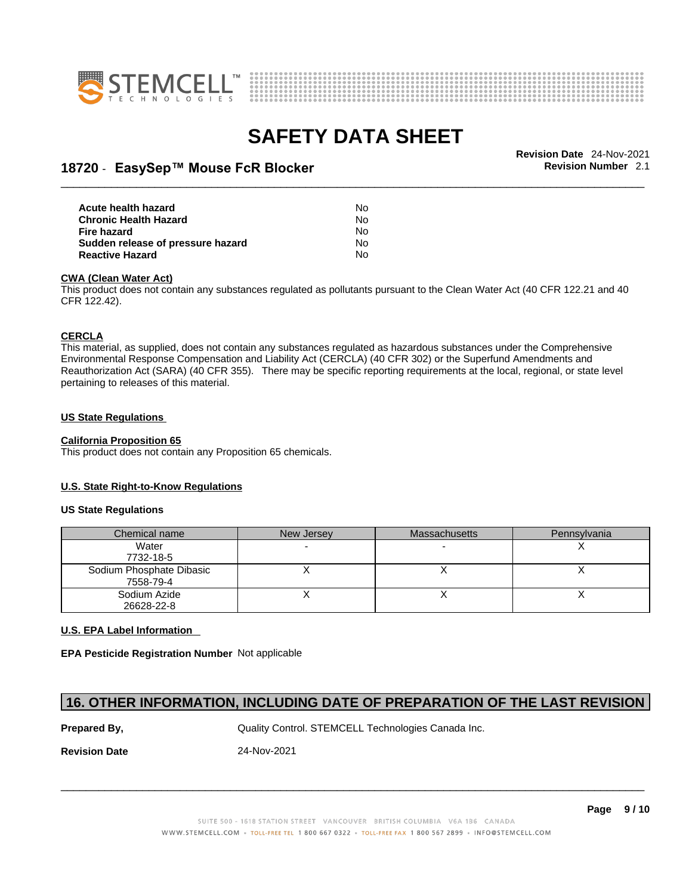



## \_\_\_\_\_\_\_\_\_\_\_\_\_\_\_\_\_\_\_\_\_\_\_\_\_\_\_\_\_\_\_\_\_\_\_\_\_\_\_\_\_\_\_\_\_\_\_\_\_\_\_\_\_\_\_\_\_\_\_\_\_\_\_\_\_\_\_\_\_\_\_\_\_\_\_\_\_\_\_\_\_\_\_\_\_\_\_\_\_\_\_\_\_ **Revision Date** 24-Nov-2021 **18720** - **EasySep™ Mouse FcR Blocker Revision Number** 2.1

| Acute health hazard               | No. |  |
|-----------------------------------|-----|--|
| Chronic Health Hazard             | Nο  |  |
| Fire hazard                       | No. |  |
| Sudden release of pressure hazard | No. |  |
| Reactive Hazard                   | No. |  |

#### **CWA** (Clean Water Act)

This product does not contain any substances regulated as pollutants pursuant to the Clean Water Act (40 CFR 122.21 and 40 CFR 122.42).

### **CERCLA**

This material, as supplied, does not contain any substances regulated as hazardous substances under the Comprehensive Environmental Response Compensation and Liability Act (CERCLA) (40 CFR 302) or the Superfund Amendments and Reauthorization Act (SARA) (40 CFR 355). There may be specific reporting requirements at the local, regional, or state level pertaining to releases of this material.

#### **US State Regulations**

#### **California Proposition 65**

This product does not contain any Proposition 65 chemicals.

#### **U.S. State Right-to-Know Regulations**

#### **US State Regulations**

| Chemical name                         | New Jersey | <b>Massachusetts</b> | Pennsylvania |
|---------------------------------------|------------|----------------------|--------------|
| Water<br>7732-18-5                    |            |                      |              |
| Sodium Phosphate Dibasic<br>7558-79-4 |            |                      |              |
| Sodium Azide<br>26628-22-8            |            |                      |              |

### **U.S. EPA Label Information**

**EPA Pesticide Registration Number** Not applicable

### **16. OTHER INFORMATION, INCLUDING DATE OF PREPARATION OF THE LAST REVISION**

**Prepared By, State Control. STEMCELL Technologies Canada Inc.** Canada Inc.

**Revision Date** 24-Nov-2021